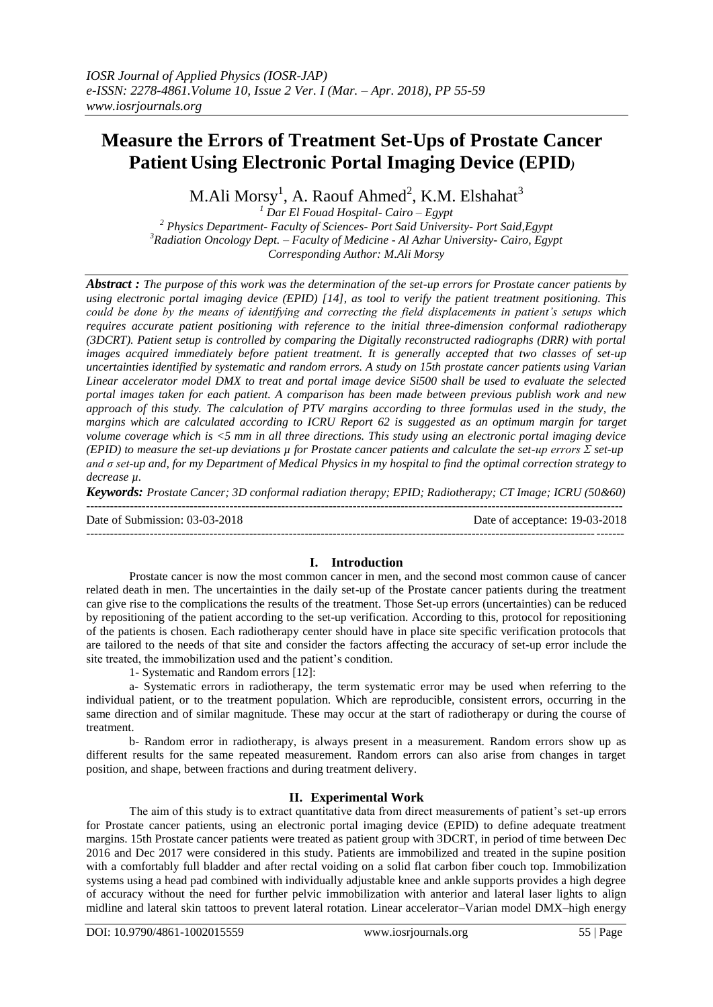# **Measure the Errors of Treatment Set-Ups of Prostate Cancer Patient Using Electronic Portal Imaging Device (EPID***)*

M.Ali Morsy $^{\rm l}$ , A. Raouf Ahmed $^{\rm 2}$ , K.M. Elshahat $^{\rm 3}$ 

 *Dar El Fouad Hospital- Cairo – Egypt Physics Department- Faculty of Sciences- Port Said University- Port Said,Egypt Radiation Oncology Dept. – Faculty of Medicine - Al Azhar University- Cairo, Egypt Corresponding Author: M.Ali Morsy*

*Abstract : The purpose of this work was the determination of the set-up errors for Prostate cancer patients by using electronic portal imaging device (EPID) [14], as tool to verify the patient treatment positioning. This could be done by the means of identifying and correcting the field displacements in patient's setups which requires accurate patient positioning with reference to the initial three-dimension conformal radiotherapy (3DCRT). Patient setup is controlled by comparing the Digitally reconstructed radiographs (DRR) with portal images acquired immediately before patient treatment. It is generally accepted that two classes of set-up uncertainties identified by systematic and random errors. A study on 15th prostate cancer patients using Varian Linear accelerator model DMX to treat and portal image device Si500 shall be used to evaluate the selected portal images taken for each patient. A comparison has been made between previous publish work and new approach of this study. The calculation of PTV margins according to three formulas used in the study, the margins which are calculated according to ICRU Report 62 is suggested as an optimum margin for target volume coverage which is <5 mm in all three directions. This study using an electronic portal imaging device (EPID) to measure the set-up deviations µ for Prostate cancer patients and calculate the set-up errors Σ set-up and σ set-up and, for my Department of Medical Physics in my hospital to find the optimal correction strategy to decrease µ.*

*Keywords: Prostate Cancer; 3D conformal radiation therapy; EPID; Radiotherapy; CT Image; ICRU (50&60)* ---------------------------------------------------------------------------------------------------------------------------------------

Date of Submission: 03-03-2018 Date of acceptance: 19-03-2018 ---------------------------------------------------------------------------------------------------------------------------------------

## **I. Introduction**

Prostate cancer is now the most common cancer in men, and the second most common cause of cancer related death in men. The uncertainties in the daily set-up of the Prostate cancer patients during the treatment can give rise to the complications the results of the treatment. Those Set-up errors (uncertainties) can be reduced by repositioning of the patient according to the set-up verification. According to this, protocol for repositioning of the patients is chosen. Each radiotherapy center should have in place site specific verification protocols that are tailored to the needs of that site and consider the factors affecting the accuracy of set-up error include the site treated, the immobilization used and the patient's condition.

1- Systematic and Random errors [12]:

a- Systematic errors in radiotherapy, the term systematic error may be used when referring to the individual patient, or to the treatment population. Which are reproducible, consistent errors, occurring in the same direction and of similar magnitude. These may occur at the start of radiotherapy or during the course of treatment.

b- Random error in radiotherapy, is always present in a measurement. Random errors show up as different results for the same repeated measurement. Random errors can also arise from changes in target position, and shape, between fractions and during treatment delivery.

## **II. Experimental Work**

The aim of this study is to extract quantitative data from direct measurements of patient's set-up errors for Prostate cancer patients, using an electronic portal imaging device (EPID) to define adequate treatment margins. 15th Prostate cancer patients were treated as patient group with 3DCRT, in period of time between Dec 2016 and Dec 2017 were considered in this study. Patients are immobilized and treated in the supine position with a comfortably full bladder and after rectal voiding on a solid flat carbon fiber couch top. Immobilization systems using a head pad combined with individually adjustable knee and ankle supports provides a high degree of accuracy without the need for further pelvic immobilization with anterior and lateral laser lights to align midline and lateral skin tattoos to prevent lateral rotation. Linear accelerator–Varian model DMX–high energy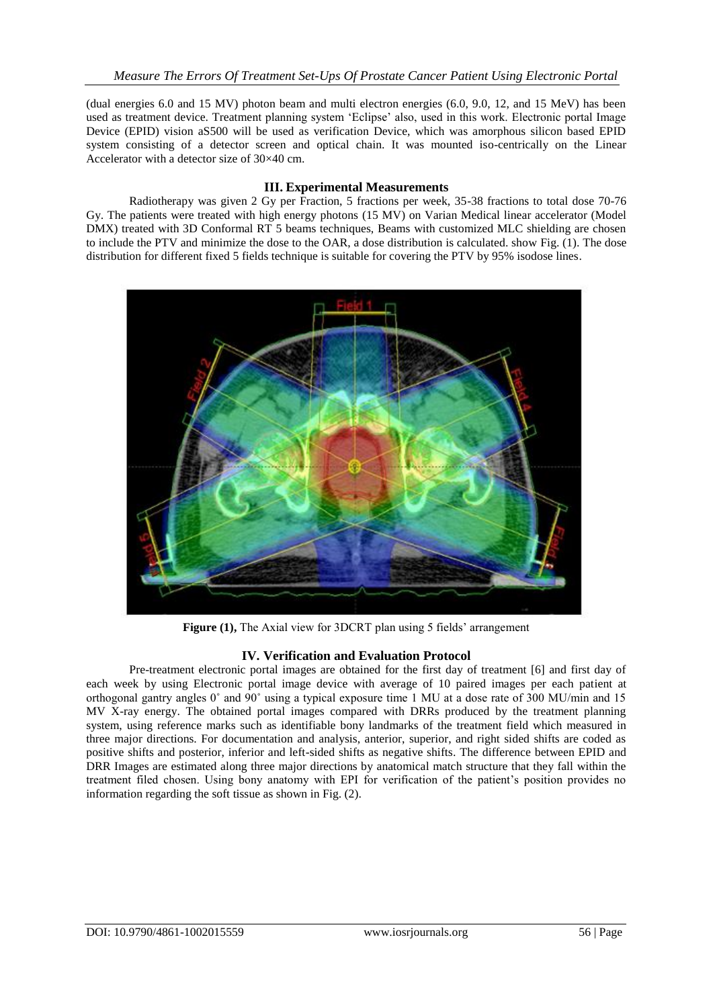(dual energies 6.0 and 15 MV) photon beam and multi electron energies (6.0, 9.0, 12, and 15 MeV) has been used as treatment device. Treatment planning system 'Eclipse' also, used in this work. Electronic portal Image Device (EPID) vision aS500 will be used as verification Device, which was amorphous silicon based EPID system consisting of a detector screen and optical chain. It was mounted iso-centrically on the Linear Accelerator with a detector size of 30×40 cm.

### **III. Experimental Measurements**

Radiotherapy was given 2 Gy per Fraction, 5 fractions per week, 35-38 fractions to total dose 70-76 Gy. The patients were treated with high energy photons (15 MV) on Varian Medical linear accelerator (Model DMX) treated with 3D Conformal RT 5 beams techniques, Beams with customized MLC shielding are chosen to include the PTV and minimize the dose to the OAR, a dose distribution is calculated. show Fig. (1). The dose distribution for different fixed 5 fields technique is suitable for covering the PTV by 95% isodose lines.



**Figure (1),** The Axial view for 3DCRT plan using 5 fields' arrangement

### **IV. Verification and Evaluation Protocol**

Pre-treatment electronic portal images are obtained for the first day of treatment [6] and first day of each week by using Electronic portal image device with average of 10 paired images per each patient at orthogonal gantry angles 0˚ and 90˚ using a typical exposure time 1 MU at a dose rate of 300 MU/min and 15 MV X-ray energy. The obtained portal images compared with DRRs produced by the treatment planning system, using reference marks such as identifiable bony landmarks of the treatment field which measured in three major directions. For documentation and analysis, anterior, superior, and right sided shifts are coded as positive shifts and posterior, inferior and left-sided shifts as negative shifts. The difference between EPID and DRR Images are estimated along three major directions by anatomical match structure that they fall within the treatment filed chosen. Using bony anatomy with EPI for verification of the patient's position provides no information regarding the soft tissue as shown in Fig. (2).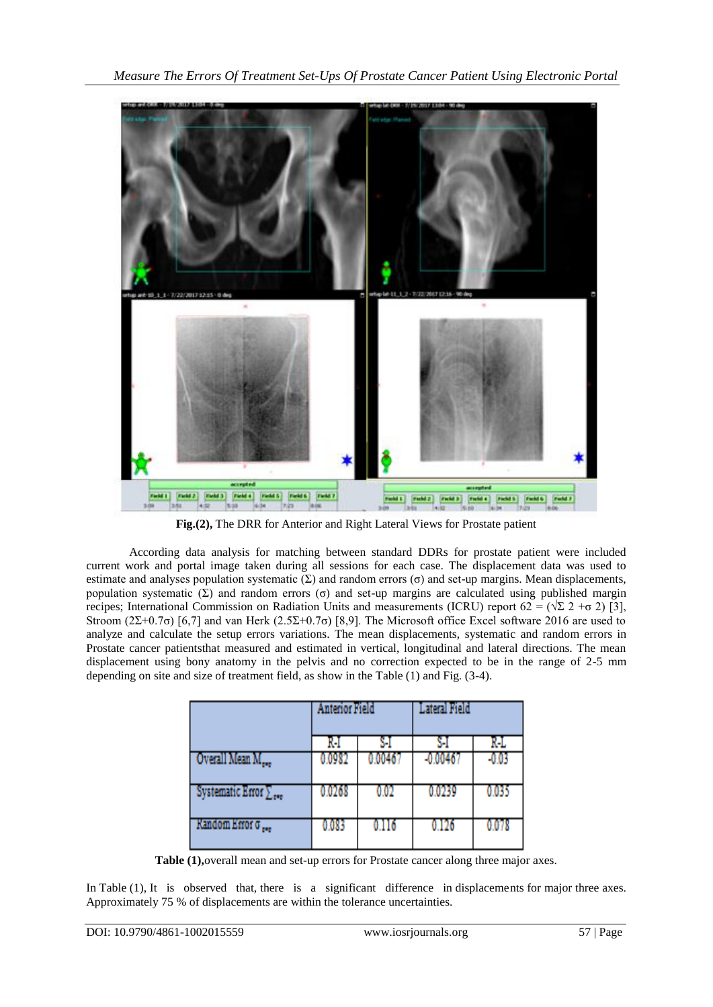

**Fig.(2),** The DRR for Anterior and Right Lateral Views for Prostate patient

According data analysis for matching between standard DDRs for prostate patient were included current work and portal image taken during all sessions for each case. The displacement data was used to estimate and analyses population systematic  $(Σ)$  and random errors  $(σ)$  and set-up margins. Mean displacements, population systematic (Σ) and random errors (σ) and set-up margins are calculated using published margin recipes; International Commission on Radiation Units and measurements (ICRU) report 62 =  $(\sqrt{2} \ 2 + \sigma \ 2)$  [3], Stroom (2Σ+0.7σ) [6,7] and van Herk (2.5Σ+0.7σ) [8,9]. The Microsoft office Excel software 2016 are used to analyze and calculate the setup errors variations. The mean displacements, systematic and random errors in Prostate cancer patientsthat measured and estimated in vertical, longitudinal and lateral directions. The mean displacement using bony anatomy in the pelvis and no correction expected to be in the range of 2-5 mm depending on site and size of treatment field, as show in the Table (1) and Fig. (3-4).

|                                        |        | <b>Anterior Field</b> |            | Lateral Field |  |
|----------------------------------------|--------|-----------------------|------------|---------------|--|
|                                        | R-I    |                       |            | RI.           |  |
| Overall Mean M <sub>ore</sub>          | 0.0982 | 0.00467               | $-0.00467$ | -0.03         |  |
| Systematic Error $\sum_{\alpha\alpha}$ | 0.0268 | 0.02                  | 0.0239     | 0.035         |  |
| Kandom Krror o                         | 0.083  | 0.116                 | 0 1 2 6    | 0.078         |  |

**Table (1),**overall mean and set-up errors for Prostate cancer along three major axes.

In Table (1), It is observed that, there is a significant difference in displacements for major three axes. Approximately 75 % of displacements are within the tolerance uncertainties.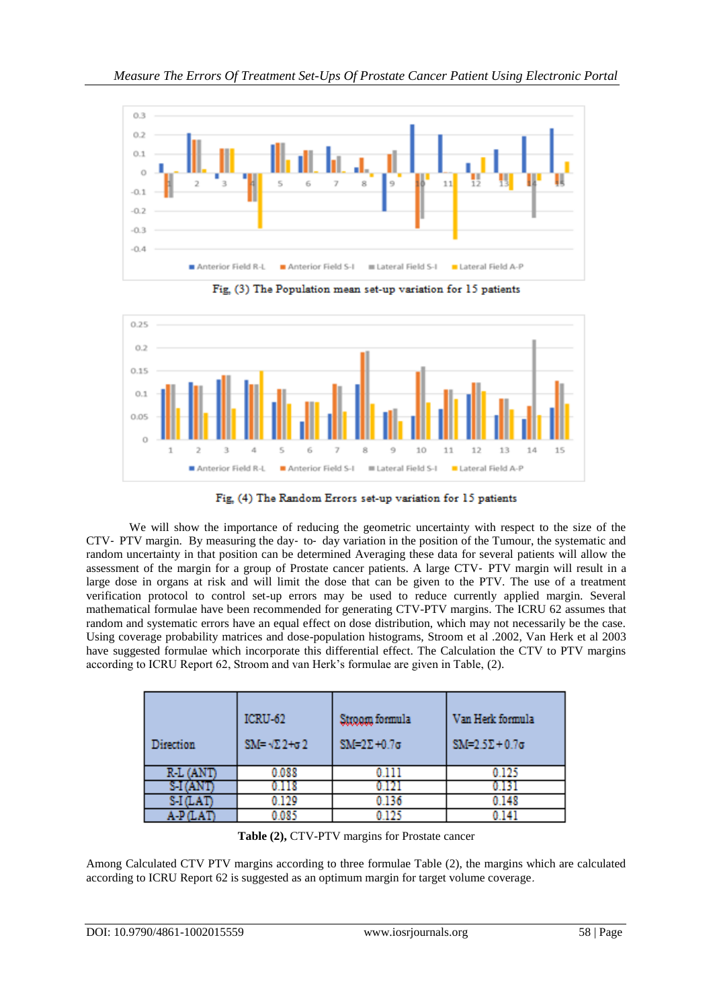

Fig. (3) The Population mean set-up variation for 15 patients



Fig. (4) The Random Errors set-up variation for 15 patients

We will show the importance of reducing the geometric uncertainty with respect to the size of the CTV‐ PTV margin. By measuring the day‐ to‐ day variation in the position of the Tumour, the systematic and random uncertainty in that position can be determined Averaging these data for several patients will allow the assessment of the margin for a group of Prostate cancer patients. A large CTV‐ PTV margin will result in a large dose in organs at risk and will limit the dose that can be given to the PTV. The use of a treatment verification protocol to control set-up errors may be used to reduce currently applied margin. Several mathematical formulae have been recommended for generating CTV-PTV margins. The ICRU 62 assumes that random and systematic errors have an equal effect on dose distribution, which may not necessarily be the case. Using coverage probability matrices and dose-population histograms, Stroom et al .2002, Van Herk et al 2003 have suggested formulae which incorporate this differential effect. The Calculation the CTV to PTV margins according to ICRU Report 62, Stroom and van Herk's formulae are given in Table, (2).

| Direction | ICRU-62<br>$SM = \sqrt{22} + \sigma 2$ | Stroom formula<br>$SM=2\Sigma+0.7\sigma$ | Van Herk formula<br>$SM=2.5\Sigma+0.7\sigma$ |
|-----------|----------------------------------------|------------------------------------------|----------------------------------------------|
| R-L (ANT  | 0.088                                  | 0.111                                    | 0.125                                        |
|           | 1118                                   |                                          |                                              |
| S-I (LAT  | 0.129                                  | 0.136                                    | 0.148                                        |
|           | 0.085                                  | 0 1 2 5                                  |                                              |

**Table (2),** CTV-PTV margins for Prostate cancer

Among Calculated CTV PTV margins according to three formulae Table (2), the margins which are calculated according to ICRU Report 62 is suggested as an optimum margin for target volume coverage.